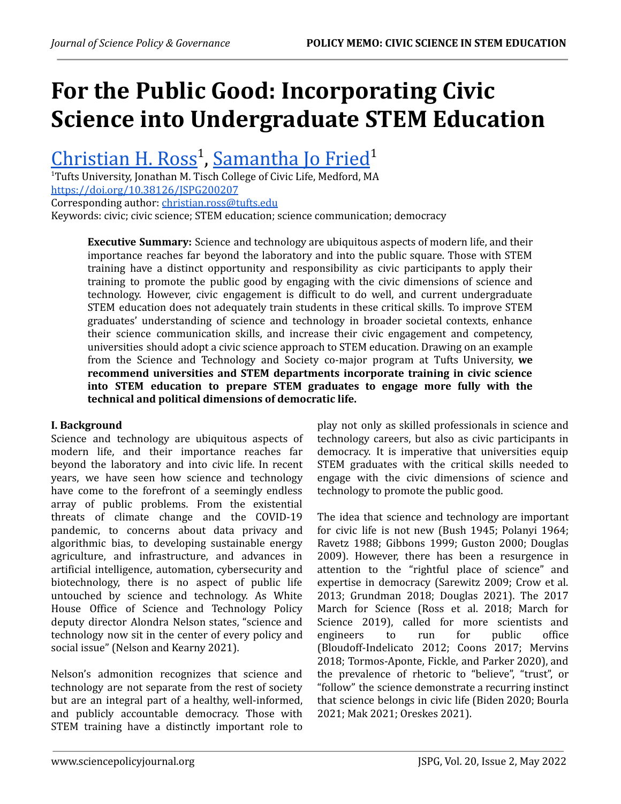# **For the Public Good: Incorporating Civic Science into Undergraduate STEM Education**

[Christian](https://orcid.org/0000-0001-9314-3649) H. Ross<sup>1</sup>, [Samantha](https://orcid.org/0000-0003-2060-0129) Jo Fried<sup>1</sup>

<sup>1</sup>Tufts University, Jonathan M. Tisch College of Civic Life, Medford, MA <https://doi.org/10.38126/JSPG200207> Corresponding author: [christian.ross@tufts.edu](mailto:christian.ross@tufts.edu)

Keywords: civic; civic science; STEM education; science communication; democracy

**Executive Summary:** Science and technology are ubiquitous aspects of modern life, and their importance reaches far beyond the laboratory and into the public square. Those with STEM training have a distinct opportunity and responsibility as civic participants to apply their training to promote the public good by engaging with the civic dimensions of science and technology. However, civic engagement is difficult to do well, and current undergraduate STEM education does not adequately train students in these critical skills. To improve STEM graduates' understanding of science and technology in broader societal contexts, enhance their science communication skills, and increase their civic engagement and competency, universities should adopt a civic science approach to STEM education. Drawing on an example from the Science and Technology and Society co-major program at Tufts University, **we recommend universities and STEM departments incorporate training in civic science into STEM education to prepare STEM graduates to engage more fully with the technical and political dimensions of democratic life.**

# **I. Background**

Science and technology are ubiquitous aspects of modern life, and their importance reaches far beyond the laboratory and into civic life. In recent years, we have seen how science and technology have come to the forefront of a seemingly endless array of public problems. From the existential threats of climate change and the COVID-19 pandemic, to concerns about data privacy and algorithmic bias, to developing sustainable energy agriculture, and infrastructure, and advances in artificial intelligence, automation, cybersecurity and biotechnology, there is no aspect of public life untouched by science and technology. As White House Office of Science and Technology Policy deputy director Alondra Nelson states, "science and technology now sit in the center of every policy and social issue" (Nelson and Kearny 2021).

Nelson's admonition recognizes that science and technology are not separate from the rest of society but are an integral part of a healthy, well-informed, and publicly accountable democracy. Those with STEM training have a distinctly important role to

play not only as skilled professionals in science and technology careers, but also as civic participants in democracy. It is imperative that universities equip STEM graduates with the critical skills needed to engage with the civic dimensions of science and technology to promote the public good.

The idea that science and technology are important for civic life is not new (Bush 1945; Polanyi 1964; Ravetz 1988; Gibbons 1999; Guston 2000; Douglas 2009). However, there has been a resurgence in attention to the "rightful place of science" and expertise in democracy (Sarewitz 2009; Crow et al. 2013; Grundman 2018; Douglas 2021). The 2017 March for Science (Ross et al. 2018; March for Science 2019), called for more scientists and engineers to run for public office (Bloudoff-Indelicato 2012; Coons 2017; Mervins 2018; Tormos-Aponte, Fickle, and Parker 2020), and the prevalence of rhetoric to "believe", "trust", or "follow" the science demonstrate a recurring instinct that science belongs in civic life (Biden 2020; Bourla 2021; Mak 2021; Oreskes 2021).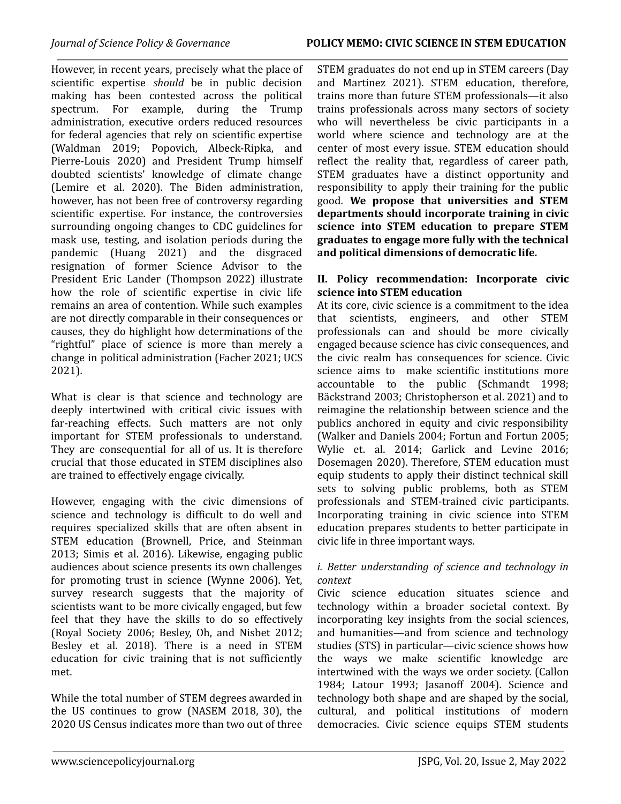However, in recent years, precisely what the place of scientific expertise *should* be in public decision making has been contested across the political spectrum. For example, during the Trump administration, executive orders reduced resources for federal agencies that rely on scientific expertise (Waldman 2019; Popovich, Albeck-Ripka, and Pierre-Louis 2020) and President Trump himself doubted scientists' knowledge of climate change (Lemire et al. 2020). The Biden administration, however, has not been free of controversy regarding scientific expertise. For instance, the controversies surrounding ongoing changes to CDC guidelines for mask use, testing, and isolation periods during the pandemic (Huang 2021) and the disgraced resignation of former Science Advisor to the President Eric Lander (Thompson 2022) illustrate how the role of scientific expertise in civic life remains an area of contention. While such examples are not directly comparable in their consequences or causes, they do highlight how determinations of the "rightful" place of science is more than merely a change in political administration (Facher 2021; UCS 2021).

What is clear is that science and technology are deeply intertwined with critical civic issues with far-reaching effects. Such matters are not only important for STEM professionals to understand. They are consequential for all of us. It is therefore crucial that those educated in STEM disciplines also are trained to effectively engage civically.

However, engaging with the civic dimensions of science and technology is difficult to do well and requires specialized skills that are often absent in STEM education (Brownell, Price, and Steinman 2013; Simis et al. 2016). Likewise, engaging public audiences about science presents its own challenges for promoting trust in science (Wynne 2006). Yet, survey research suggests that the majority of scientists want to be more civically engaged, but few feel that they have the skills to do so effectively (Royal Society 2006; Besley, Oh, and Nisbet 2012; Besley et al. 2018). There is a need in STEM education for civic training that is not sufficiently met.

While the total number of STEM degrees awarded in the US continues to grow (NASEM 2018, 30), the 2020 US Census indicates more than two out of three STEM graduates do not end up in STEM careers (Day and Martinez 2021). STEM education, therefore, trains more than future STEM professionals—it also trains professionals across many sectors of society who will nevertheless be civic participants in a world where science and technology are at the center of most every issue. STEM education should reflect the reality that, regardless of career path, STEM graduates have a distinct opportunity and responsibility to apply their training for the public good. **We propose that universities and STEM departments should incorporate training in civic science into STEM education to prepare STEM graduates to engage more fully with the technical and political dimensions of democratic life.**

### **II. Policy recommendation: Incorporate civic science into STEM education**

At its core, civic science is a commitment to the idea that scientists, engineers, and other STEM professionals can and should be more civically engaged because science has civic consequences, and the civic realm has consequences for science. Civic science aims to make scientific institutions more accountable to the public (Schmandt 1998; Bäckstrand 2003; Christopherson et al. 2021) and to reimagine the relationship between science and the publics anchored in equity and civic responsibility (Walker and Daniels 2004; Fortun and Fortun 2005; Wylie et. al. 2014; Garlick and Levine 2016; Dosemagen 2020). Therefore, STEM education must equip students to apply their distinct technical skill sets to solving public problems, both as STEM professionals and STEM-trained civic participants. Incorporating training in civic science into STEM education prepares students to better participate in civic life in three important ways.

# *i. Better understanding of science and technology in context*

Civic science education situates science and technology within a broader societal context. By incorporating key insights from the social sciences, and humanities—and from science and technology studies (STS) in particular—civic science shows how the ways we make scientific knowledge are intertwined with the ways we order society. (Callon 1984; Latour 1993; Jasanoff 2004). Science and technology both shape and are shaped by the social, cultural, and political institutions of modern democracies. Civic science equips STEM students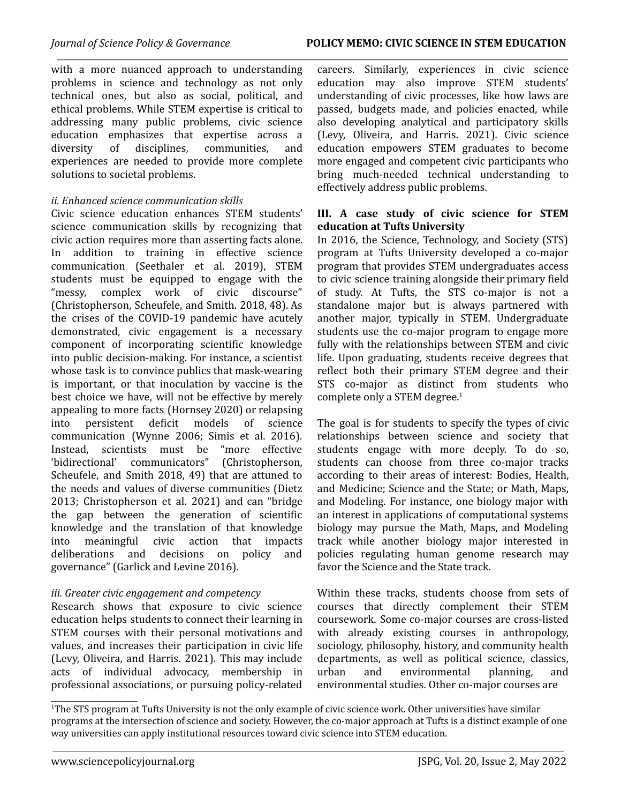with a more nuanced approach to understanding problems in science and technology as not only technical ones, but also as social, political, and ethical problems. While STEM expertise is critical to addressing many public problems, civic science education emphasizes that expertise across a diversity of disciplines, communities, and experiences are needed to provide more complete solutions to societal problems.

### *ii. Enhanced science communication skills*

Civic science education enhances STEM students' science communication skills by recognizing that civic action requires more than asserting facts alone. In addition to training in effective science communication (Seethaler et al. 2019), STEM students must be equipped to engage with the "messy, complex work of civic discourse" (Christopherson, Scheufele, and Smith. 2018, 48). As the crises of the COVID-19 pandemic have acutely demonstrated, civic engagement is a necessary component of incorporating scientific knowledge into public decision-making. For instance, a scientist whose task is to convince publics that mask-wearing is important, or that inoculation by vaccine is the best choice we have, will not be effective by merely appealing to more facts (Hornsey 2020) or relapsing into persistent deficit models of science communication (Wynne 2006; Simis et al. 2016). Instead, scientists must be 'bidirectional' communicators" (Christopherson, Scheufele, and Smith 2018, 49) that are attuned to the needs and values of diverse communities (Dietz 2013; Christopherson et al. 2021) and can "bridge the gap between the generation of scientific knowledge and the translation of that knowledge into meaningful civic action that impacts deliberations and decisions on policy and governance" (Garlick and Levine 2016).

#### *iii. Greater civic engagement and competency*

Research shows that exposure to civic science education helps students to connect their learning in STEM courses with their personal motivations and values, and increases their participation in civic life (Levy, Oliveira, and Harris. 2021). This may include acts of individual advocacy, membership in professional associations, or pursuing policy-related careers. Similarly, experiences in civic science education may also improve STEM students' understanding of civic processes, like how laws are passed, budgets made, and policies enacted, while also developing analytical and participatory skills (Levy, Oliveira, and Harris. 2021). Civic science education empowers STEM graduates to become more engaged and competent civic participants who bring much-needed technical understanding to effectively address public problems.

### **III. A case study of civic science for STEM education at Tufts University**

In 2016, the Science, Technology, and Society (STS) program at Tufts University developed a co-major program that provides STEM undergraduates access to civic science training alongside their primary field of study. At Tufts, the STS co-major is not a standalone major but is always partnered with another major, typically in STEM. Undergraduate students use the co-major program to engage more fully with the relationships between STEM and civic life. Upon graduating, students receive degrees that reflect both their primary STEM degree and their STS co-major as distinct from students who complete only a STEM degree. 1

The goal is for students to specify the types of civic relationships between science and society that students engage with more deeply. To do so, students can choose from three co-major tracks according to their areas of interest: Bodies, Health, and Medicine; Science and the State; or Math, Maps, and Modeling. For instance, one biology major with an interest in applications of computational systems biology may pursue the Math, Maps, and Modeling track while another biology major interested in policies regulating human genome research may favor the Science and the State track.

Within these tracks, students choose from sets of courses that directly complement their STEM coursework. Some co-major courses are cross-listed with already existing courses in anthropology, sociology, philosophy, history, and community health departments, as well as political science, classics, urban and environmental planning, and environmental studies. Other co-major courses are

\_\_\_\_\_\_\_\_\_\_\_\_\_\_\_\_\_\_\_\_\_\_\_

<sup>&</sup>lt;sup>1</sup>The STS program at Tufts University is not the only example of civic science work. Other universities have similar programs at the intersection of science and society. However, the co-major approach at Tufts is a distinct example of one way universities can apply institutional resources toward civic science into STEM education.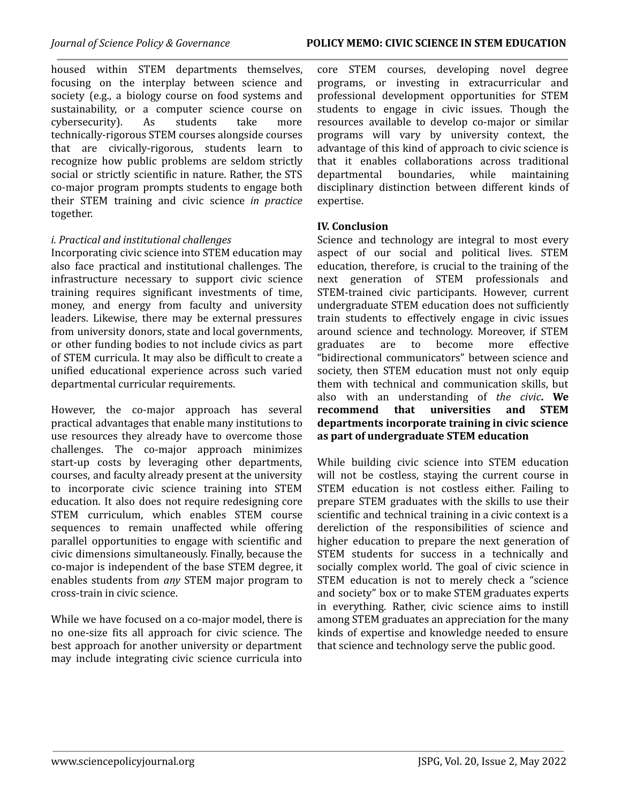housed within STEM departments themselves, focusing on the interplay between science and society (e.g., a biology course on food systems and sustainability, or a computer science course on cybersecurity). As students take more technically-rigorous STEM courses alongside courses that are civically-rigorous, students learn to recognize how public problems are seldom strictly social or strictly scientific in nature. Rather, the STS co-major program prompts students to engage both their STEM training and civic science *in practice* together.

#### *i. Practical and institutional challenges*

Incorporating civic science into STEM education may also face practical and institutional challenges. The infrastructure necessary to support civic science training requires significant investments of time, money, and energy from faculty and university leaders. Likewise, there may be external pressures from university donors, state and local governments, or other funding bodies to not include civics as part of STEM curricula. It may also be difficult to create a unified educational experience across such varied departmental curricular requirements.

However, the co-major approach has several practical advantages that enable many institutions to use resources they already have to overcome those challenges. The co-major approach minimizes start-up costs by leveraging other departments, courses, and faculty already present at the university to incorporate civic science training into STEM education. It also does not require redesigning core STEM curriculum, which enables STEM course sequences to remain unaffected while offering parallel opportunities to engage with scientific and civic dimensions simultaneously. Finally, because the co-major is independent of the base STEM degree, it enables students from *any* STEM major program to cross-train in civic science.

While we have focused on a co-major model, there is no one-size fits all approach for civic science. The best approach for another university or department may include integrating civic science curricula into core STEM courses, developing novel degree programs, or investing in extracurricular and professional development opportunities for STEM students to engage in civic issues. Though the resources available to develop co-major or similar programs will vary by university context, the advantage of this kind of approach to civic science is that it enables collaborations across traditional departmental boundaries, while maintaining disciplinary distinction between different kinds of expertise.

#### **IV. Conclusion**

Science and technology are integral to most every aspect of our social and political lives. STEM education, therefore, is crucial to the training of the next generation of STEM professionals and STEM-trained civic participants. However, current undergraduate STEM education does not sufficiently train students to effectively engage in civic issues around science and technology. Moreover, if STEM graduates are to become more effective "bidirectional communicators" between science and society, then STEM education must not only equip them with technical and communication skills, but also with an understanding of *the civic***. We recommend that universities and STEM departments incorporate training in civic science as part of undergraduate STEM education**

While building civic science into STEM education will not be costless, staying the current course in STEM education is not costless either. Failing to prepare STEM graduates with the skills to use their scientific and technical training in a civic context is a dereliction of the responsibilities of science and higher education to prepare the next generation of STEM students for success in a technically and socially complex world. The goal of civic science in STEM education is not to merely check a "science and society" box or to make STEM graduates experts in everything. Rather, civic science aims to instill among STEM graduates an appreciation for the many kinds of expertise and knowledge needed to ensure that science and technology serve the public good.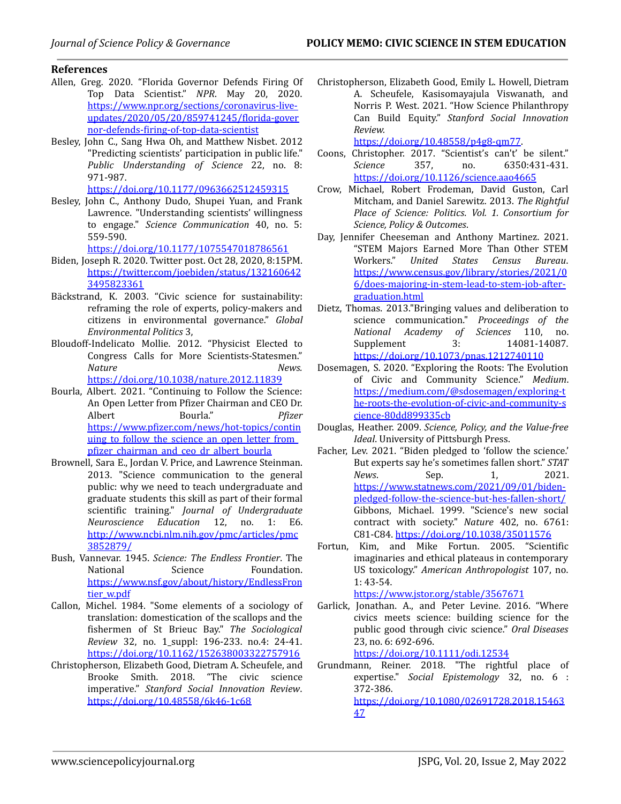#### **References**

- Allen, Greg. 2020. "Florida Governor Defends Firing Of Top Data Scientist." *NPR*. May 20, 2020. [https://www.npr.org/sections/coronavirus-live](https://www.npr.org/sections/coronavirus-live-updates/2020/05/20/859741245/florida-governor-defends-firing-of-top-data-scientist)[updates/2020/05/20/859741245/florida-gover](https://www.npr.org/sections/coronavirus-live-updates/2020/05/20/859741245/florida-governor-defends-firing-of-top-data-scientist) [nor-defends-firing-of-top-data-scientist](https://www.npr.org/sections/coronavirus-live-updates/2020/05/20/859741245/florida-governor-defends-firing-of-top-data-scientist)
- Besley, John C., Sang Hwa Oh, and Matthew Nisbet. 2012 "Predicting scientists' participation in public life." *Public Understanding of Science* 22, no. 8: 971-987.

[https://doi.org/10.1177/0963662512459315](https://doi-org.ezproxy.library.tufts.edu/10.1177%2F0963662512459315)

Besley, John C., Anthony Dudo, Shupei Yuan, and Frank Lawrence. "Understanding scientists' willingness to engage." *Science Communication* 40, no. 5: 559-590.

[https://doi.org/10.1177/1075547018786561](https://doi.org/10.1177%2F1075547018786561)

- Biden, Joseph R. 2020. Twitter post. Oct 28, 2020, 8:15PM. [https://twitter.com/joebiden/status/132160642](https://twitter.com/joebiden/status/1321606423495823361) [3495823361](https://twitter.com/joebiden/status/1321606423495823361)
- Bäckstrand, K. 2003. "Civic science for sustainability: reframing the role of experts, policy-makers and citizens in environmental governance." *Global Environmental Politics* 3,
- Bloudoff-Indelicato Mollie. 2012. "Physicist Elected to Congress Calls for More Scientists-Statesmen." *Nature News.*

[https://doi.org/10.1038/nature.2012.11839](https://doi-org.ezproxy.library.tufts.edu/10.1038/nature.2012.11839)

- Bourla, Albert. 2021. "Continuing to Follow the Science: An Open Letter from Pfizer Chairman and CEO Dr. Albert Bourla." *Pfizer* [https://www.pfizer.com/news/hot-topics/contin](https://www.pfizer.com/news/hot-topics/continuing_to_follow_the_science_an_open_letter_from_pfizer_chairman_and_ceo_dr_albert_bourla) uing to follow the science an open letter from [pfizer\\_chairman\\_and\\_ceo\\_dr\\_albert\\_bourla](https://www.pfizer.com/news/hot-topics/continuing_to_follow_the_science_an_open_letter_from_pfizer_chairman_and_ceo_dr_albert_bourla)
- Brownell, Sara E., Jordan V. Price, and Lawrence Steinman. 2013. "Science communication to the general public: why we need to teach undergraduate and graduate students this skill as part of their formal scientific training." *Journal of Undergraduate Neuroscience Education* 12, no. 1: E6. [http://www.ncbi.nlm.nih.gov/pmc/articles/pmc](http://www.ncbi.nlm.nih.gov/pmc/articles/pmc3852879/) [3852879/](http://www.ncbi.nlm.nih.gov/pmc/articles/pmc3852879/)
- Bush, Vannevar. 1945. *Science: The Endless Frontier*. The National Science Foundation. [https://www.nsf.gov/about/history/EndlessFron](https://www.nsf.gov/about/history/EndlessFrontier_w.pdf) [tier\\_w.pdf](https://www.nsf.gov/about/history/EndlessFrontier_w.pdf)
- Callon, Michel. 1984. "Some elements of a sociology of translation: domestication of the scallops and the fishermen of St Brieuc Bay." *The Sociological Review* 32, no. 1\_suppl: 196-233. no.4: 24-41. <https://doi.org/10.1162/152638003322757916>
- Christopherson, Elizabeth Good, Dietram A. Scheufele, and Brooke Smith. 2018. "The civic science imperative." *Stanford Social Innovation Review*. <https://doi.org/10.48558/6k46-1c68>

Christopherson, Elizabeth Good, Emily L. Howell, Dietram A. Scheufele, Kasisomayajula Viswanath, and Norris P. West. 2021. "How Science Philanthropy Can Build Equity." *Stanford Social Innovation Review.*

[https://doi.org/10.48558/p4g8-qm77.](https://doi.org/10.48558/p4g8-qm77)

- Coons, Christopher. 2017. "Scientist's can't' be silent." *Science* 357, no. 6350:431-431. <https://doi.org/10.1126/science.aao4665>
- Crow, Michael, Robert Frodeman, David Guston, Carl Mitcham, and Daniel Sarewitz. 2013. *The Rightful Place of Science: Politics*. *Vol. 1. Consortium for Science, Policy & Outcomes*.
- Day, Jennifer Cheeseman and Anthony Martinez. 2021. "STEM Majors Earned More Than Other STEM Workers." *United States Census Bureau*. [https://www.census.gov/library/stories/2021/0](https://www.census.gov/library/stories/2021/06/does-majoring-in-stem-lead-to-stem-job-after-graduation.html) [6/does-majoring-in-stem-lead-to-stem-job-after](https://www.census.gov/library/stories/2021/06/does-majoring-in-stem-lead-to-stem-job-after-graduation.html)[graduation.html](https://www.census.gov/library/stories/2021/06/does-majoring-in-stem-lead-to-stem-job-after-graduation.html)
- Dietz, Thomas. 2013."Bringing values and deliberation to science communication." *Proceedings of the National Academy of Sciences* 110, no. Supplement 3: 14081-14087. [https://doi.org/10.1073/pnas.1212740110](https://doi-org.ezproxy.library.tufts.edu/10.1073/pnas.1212740110)
- Dosemagen, S. 2020. "Exploring the Roots: The Evolution of Civic and Community Science." *Medium*. [https://medium.com/@sdosemagen/exploring-t](https://medium.com/@sdosemagen/exploring-the-roots-the-evolution-of-civic-and-community-science-80dd899335cb) [he-roots-the-evolution-of-civic-and-community-s](https://medium.com/@sdosemagen/exploring-the-roots-the-evolution-of-civic-and-community-science-80dd899335cb) [cience-80dd899335cb](https://medium.com/@sdosemagen/exploring-the-roots-the-evolution-of-civic-and-community-science-80dd899335cb)
- Douglas, Heather. 2009. *Science, Policy, and the Value-free Ideal*. University of Pittsburgh Press.
- Facher, Lev. 2021. "Biden pledged to 'follow the science.' But experts say he's sometimes fallen short." *STAT News.* Sep. 1, 2021. [https://www.statnews.com/2021/09/01/biden](https://www.statnews.com/2021/09/01/biden-pledged-follow-the-science-but-hes-fallen-short/)[pledged-follow-the-science-but-hes-fallen-short/](https://www.statnews.com/2021/09/01/biden-pledged-follow-the-science-but-hes-fallen-short/) Gibbons, Michael. 1999. "Science's new social contract with society." *Nature* 402, no. 6761: C81-C84. <https://doi.org/10.1038/35011576>
- Fortun, Kim, and Mike Fortun. 2005. "Scientific imaginaries and ethical plateaus in contemporary US toxicology." *American Anthropologist* 107, no. 1: 43-54.

<https://www.jstor.org/stable/3567671>

Garlick, Jonathan. A., and Peter Levine. 2016. "Where civics meets science: building science for the public good through civic science." *Oral Diseases* 23, no. 6: 692-696.

<https://doi.org/10.1111/odi.12534>

Grundmann, Reiner. 2018. "The rightful place of expertise." *Social Epistemology* 32, no. 6 : 372-386.

[https://doi.org/10.1080/02691728.2018.15463](https://doi.org/10.1080/02691728.2018.1546347) [47](https://doi.org/10.1080/02691728.2018.1546347)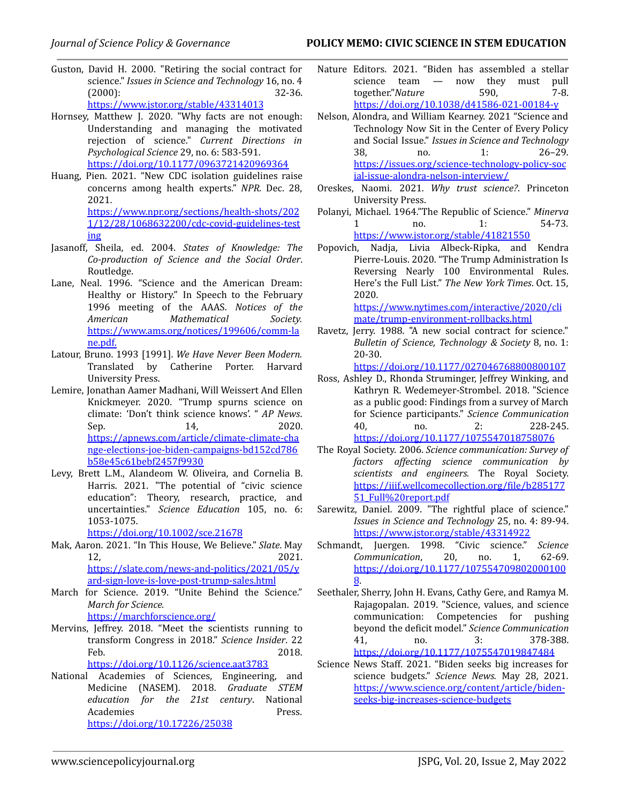#### *Journal of Science Policy & Governance* **POLICY MEMO: CIVIC SCIENCE IN STEM EDUCATION**

- Guston, David H. 2000. "Retiring the social contract for science." *Issues in Science and Technology* 16, no. 4 (2000): 32-36. <https://www.jstor.org/stable/43314013>
- Hornsey, Matthew J. 2020. "Why facts are not enough: Understanding and managing the motivated rejection of science." *Current Directions in Psychological Science* 29, no. 6: 583-591. [https://doi.org/10.1177/0963721420969364](https://doi-org.ezproxy.library.tufts.edu/10.1177%2F0963721420969364)
- Huang, Pien. 2021. "New CDC isolation guidelines raise concerns among health experts." *NPR.* Dec. 28, 2021. [https://www.npr.org/sections/health-shots/202](https://www.npr.org/sections/health-shots/2021/12/28/1068632200/cdc-covid-guidelines-testing)

[1/12/28/1068632200/cdc-covid-guidelines-test](https://www.npr.org/sections/health-shots/2021/12/28/1068632200/cdc-covid-guidelines-testing) [ing](https://www.npr.org/sections/health-shots/2021/12/28/1068632200/cdc-covid-guidelines-testing)

- Jasanoff, Sheila, ed. 2004. *States of Knowledge: The Co-production of Science and the Social Order*. Routledge.
- Lane, Neal. 1996. "Science and the American Dream: Healthy or History." In Speech to the February 1996 meeting of the AAAS. *Notices of the American Mathematical Society.* [https://www.ams.org/notices/199606/comm-la](https://www.ams.org/notices/199606/comm-lane.pdf) [ne.pdf](https://www.ams.org/notices/199606/comm-lane.pdf).
- Latour, Bruno. 1993 [1991]. *We Have Never Been Modern.* Translated by Catherine Porter. Harvard University Press.
- Lemire, Jonathan Aamer Madhani, Will Weissert And Ellen Knickmeyer. 2020. "Trump spurns science on climate: 'Don't think science knows'. " *AP News*. Sep. 2020. [https://apnews.com/article/climate-climate-cha](https://apnews.com/article/climate-climate-change-elections-joe-biden-campaigns-bd152cd786b58e45c61bebf2457f9930) [nge-elections-joe-biden-campaigns-bd152cd786](https://apnews.com/article/climate-climate-change-elections-joe-biden-campaigns-bd152cd786b58e45c61bebf2457f9930) [b58e45c61bebf2457f9930](https://apnews.com/article/climate-climate-change-elections-joe-biden-campaigns-bd152cd786b58e45c61bebf2457f9930)
- Levy, Brett L.M., Alandeom W. Oliveira, and Cornelia B. Harris. 2021. "The potential of "civic science education": Theory, research, practice, and uncertainties." *Science Education* 105, no. 6: 1053-1075.

[https://doi.org/10.1002/sce.21678](https://doi-org.ezproxy.library.tufts.edu/10.1002/sce.21678)

- Mak, Aaron. 2021. "In This House, We Believe." *Slate*. May 12, 2021. [https://slate.com/news-and-politics/2021/05/y](https://slate.com/news-and-politics/2021/05/yard-sign-love-is-love-post-trump-sales.html) [ard-sign-love-is-love-post-trump-sales.html](https://slate.com/news-and-politics/2021/05/yard-sign-love-is-love-post-trump-sales.html)
- March for Science. 2019. "Unite Behind the Science." *March for Science.*

<https://marchforscience.org/>

- Mervins, Jeffrey. 2018. "Meet the scientists running to transform Congress in 2018." *Science Insider*. 22 Feb. 2018. <https://doi.org/10.1126/science.aat3783>
- National Academies of Sciences, Engineering, and Medicine (NASEM). 2018. *Graduate STEM education for the 21st century*. National Academies Press. <https://doi.org/10.17226/25038>
- Nature Editors. 2021. "Biden has assembled a stellar science team — now they must pull together."*Nature* 590, 7-8. [https://doi.org/10.1038/d41586-021-00184-y](https://doi-org.ezproxy.library.tufts.edu/10.1038/d41586-021-00184-y)
- Nelson, Alondra, and William Kearney. 2021 "Science and Technology Now Sit in the Center of Every Policy and Social Issue." *Issues in Science and Technology* 38, no. 1: 26–29. [https://issues.org/science-technology-policy-soc](https://issues.org/science-technology-policy-social-issue-alondra-nelson-interview/) [ial-issue-alondra-nelson-interview/](https://issues.org/science-technology-policy-social-issue-alondra-nelson-interview/)
- Oreskes, Naomi. 2021. *Why trust science?*. Princeton University Press.
- Polanyi, Michael. 1964."The Republic of Science." *Minerva* 1 no. 1: 54-73. <https://www.jstor.org/stable/41821550>
- Popovich, Nadja, Livia Albeck-Ripka, and Kendra Pierre-Louis. 2020. "The Trump Administration Is Reversing Nearly 100 Environmental Rules. Here's the Full List." *The New York Times*. Oct. 15, 2020.

[https://www.nytimes.com/interactive/2020/cli](https://www.nytimes.com/interactive/2020/climate/trump-environment-rollbacks.html) [mate/trump-environment-rollbacks.html](https://www.nytimes.com/interactive/2020/climate/trump-environment-rollbacks.html)

Ravetz, Jerry. 1988. "A new social contract for science." *Bulletin of Science, Technology & Society* 8, no. 1: 20-30.

[https://doi.org/10.1177/027046768800800107](https://doi-org.ezproxy.library.tufts.edu/10.1177%2F027046768800800107)

- Ross, Ashley D., Rhonda Struminger, Jeffrey Winking, and Kathryn R. Wedemeyer-Strombel. 2018. "Science as a public good: Findings from a survey of March for Science participants." *Science Communication* 40, no. 2: 228-245. [https://doi.org/10.1177/1075547018758076](https://doi-org.ezproxy.library.tufts.edu/10.1177/1075547018758076)
- The Royal Society. 2006. *Science communication: Survey of factors af ecting science communication by scientists and engineers.* The Royal Society. [https://iiif.wellcomecollection.org/file/b285177](https://iiif.wellcomecollection.org/file/b28517751_Full%20report.pdf) [51\\_Full%20report.pdf](https://iiif.wellcomecollection.org/file/b28517751_Full%20report.pdf)
- Sarewitz, Daniel. 2009. "The rightful place of science." *Issues in Science and Technology* 25, no. 4: 89-94. <https://www.jstor.org/stable/43314922>
- Schmandt, Juergen. 1998. "Civic science." *Science Communication*, 20, no. 1, 62-69. [https://doi.org/10.1177/107554709802000100](https://doi.org/10.1177/1075547098020001008) [8](https://doi.org/10.1177/1075547098020001008).
- Seethaler, Sherry, John H. Evans, Cathy Gere, and Ramya M. Rajagopalan. 2019. "Science, values, and science communication: Competencies for pushing beyond the deficit model." *Science Communication* 41, no. 3: 378-388. [https://doi.org/10.1177/1075547019847484](https://doi-org.ezproxy.library.tufts.edu/10.1177%2F1075547019847484)
- Science News Staff. 2021. "Biden seeks big increases for science budgets." *Science News.* May 28, 2021. [https://www.science.org/content/article/biden](https://www.science.org/content/article/biden-seeks-big-increases-science-budgets)[seeks-big-increases-science-budgets](https://www.science.org/content/article/biden-seeks-big-increases-science-budgets)